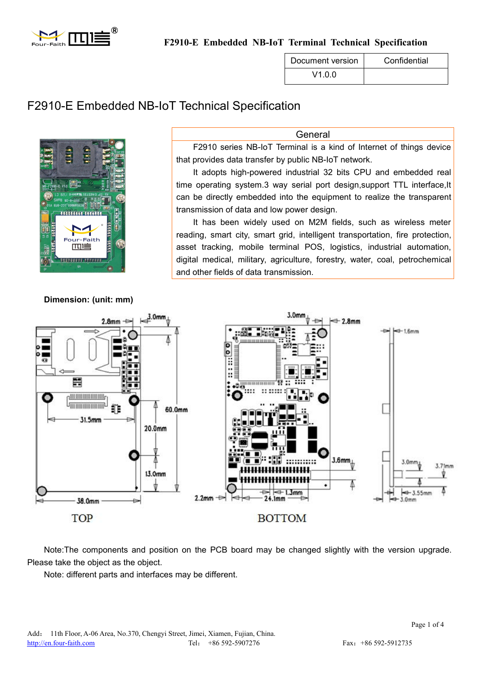

**F2910-E Embedded NB-IoT Terminal Technical Specification**

| Document version | Confidential |
|------------------|--------------|
| V1 0 0.          |              |

# F2910-E Embedded NB-IoT Technical Specification



**Dimension: (unit: mm)**

F2910 series NB-IoT Terminal is a kind of Internet of things device that provides data transfer by public NB-IoT network. It adopts high-powered industrial 32 bits CPU and embedded real

General

time operating system.3 way serial port design,support TTL interface,It can be directly embedded into the equipment to realize the transparent transmission of data and low power design.

It has been widely used on M2M fields, such as wireless meter reading, smart city, smart grid, intelligent transportation, fire protection, asset tracking, mobile terminal POS, logistics, industrial automation, digital medical, military, agriculture, forestry, water, coal, petrochemical and other fields of data transmission.



Note:The components and position on the PCB board may be changed slightly with the version upgrade. Please take the object as the object.

Note: different parts and interfaces may be different.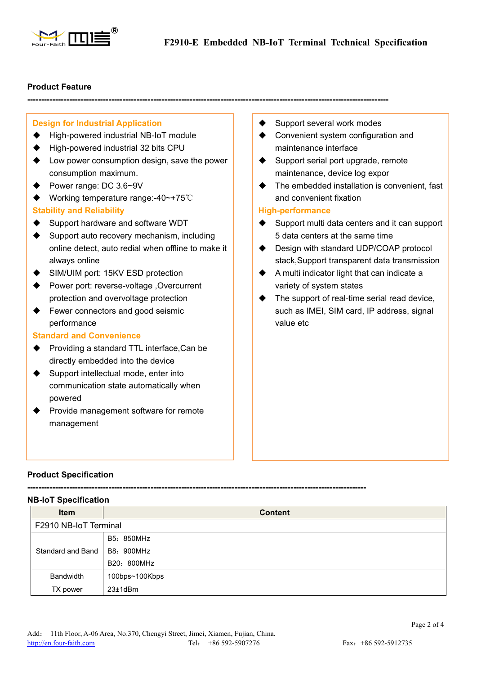

**---------------------------------------------------------------------------------------------------------------------------------**

## **Product Feature**

## **Design for Industrial Application**

- ◆ High-powered industrial NB-IoT module
- ♦ High-powered industrial 32 bits CPU
- ◆ Low power consumption design, save the power consumption maximum.
- ◆ Power range: DC 3.6~9V
- Working temperature range:-40~+75℃

## **Stability and Reliability**

- ♦ Support hardware and software WDT
- $\blacklozenge$  Support auto recovery mechanism, including online detect, auto redial when offline to make it always online
- ◆ SIM/UIM port: 15KV ESD protection
- Power port: reverse-voltage ,Overcurrent protection and overvoltage protection
- ♦ Fewer connectors and good seismic performance

## **Standard and Convenience**

- ◆ Providing a standard TTL interface.Can be directly embedded into the device
- ◆ Support intellectual mode, enter into communication state automatically when powered
- ◆ Provide management software for remote management
- Support several work modes
- ◆ Convenient system configuration and maintenance interface
- $\blacklozenge$  Support serial port upgrade, remote maintenance, device log expor
- ◆ The embedded installation is convenient, fast and convenient fixation

## **High-performance**

- Support multi data centers and it can support 5 data centers at the same time
- ◆ Design with standard UDP/COAP protocol stack,Support transparent data transmission
- $\blacklozenge$  A multi indicator light that can indicate a variety of system states
- ◆ The support of real-time serial read device, such as IMEI, SIM card, IP address, signal value etc

# **Product Specification**

**NB-IoT Specification**

**-------------------------------------------------------------------------------------------------------------------------**

| <b>Item</b>           | <b>Content</b> |
|-----------------------|----------------|
| F2910 NB-IoT Terminal |                |
|                       | B5: 850MHz     |
| Standard and Band     | B8: 900MHz     |
|                       | B20: 800MHz    |
| <b>Bandwidth</b>      | 100bps~100Kbps |
| TX power              | $23±1$ d $Br$  |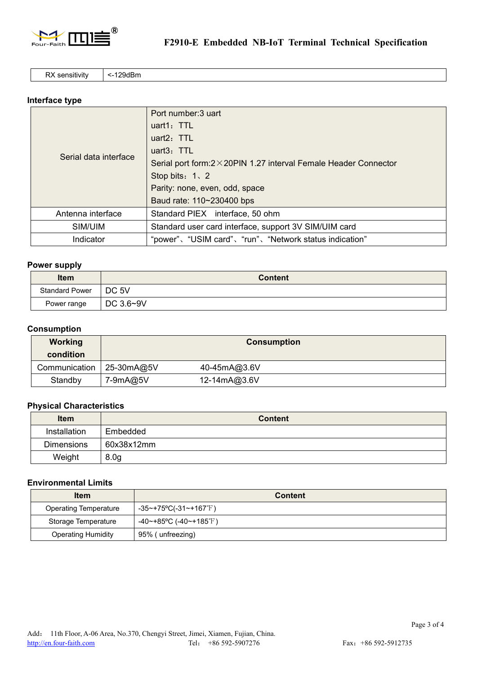

RX sensitivity | <-129dBm

# **Interface type**

|                       | Port number: 3 uart                                                       |  |
|-----------------------|---------------------------------------------------------------------------|--|
| Serial data interface | uart1: $TTL$                                                              |  |
|                       | uart $2:$ TTL                                                             |  |
|                       | uart $3:$ TTL                                                             |  |
|                       | Serial port form: $2 \times 20$ PIN 1.27 interval Female Header Connector |  |
|                       | Stop bits: $1 \times 2$                                                   |  |
|                       | Parity: none, even, odd, space                                            |  |
|                       | Baud rate: 110~230400 bps                                                 |  |
| Antenna interface     | Standard PIEX interface, 50 ohm                                           |  |
| SIM/UIM               | Standard user card interface, support 3V SIM/UIM card                     |  |
| Indicator             | "power"、"USIM card"、"run"、"Network status indication"                     |  |

#### **Power supply**

| <b>Item</b>           | <b>Content</b> |
|-----------------------|----------------|
| <b>Standard Power</b> | $\vert$ DC 5V  |
| Power range           | DC 3.6~9V      |

# **Consumption**

| <b>Working</b><br>condition | <b>Consumption</b> |              |
|-----------------------------|--------------------|--------------|
| Communication               | 25-30mA@5V         | 40-45mA@3.6V |
| Standby                     | 7-9mA@5V           | 12-14mA@3.6V |

## **Physical Characteristics**

| <b>Item</b>       | <b>Content</b>   |
|-------------------|------------------|
| Installation      | Embedded         |
| <b>Dimensions</b> | 60x38x12mm       |
| Weight            | 8.0 <sub>g</sub> |

## **Environmental Limits**

| <b>Item</b>                  | <b>Content</b>            |
|------------------------------|---------------------------|
| <b>Operating Temperature</b> | -35~+75°C(-31~+167°F)     |
| Storage Temperature          | $-40$ ~+85°C (-40~+185°F) |
| <b>Operating Humidity</b>    | 95% (unfreezing)          |